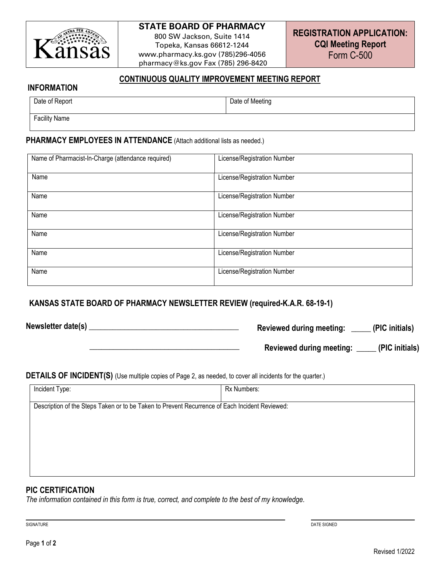

## **STATE BOARD OF PHARMACY**

800 SW Jackson, Suite 1414 Topeka, Kansas 66612-1244 www.pharmacy.ks.gov (785)296-4056 pharmacy@ks.gov Fax (785) 296-8420

## **CONTINUOUS QUALITY IMPROVEMENT MEETING REPORT**

#### **INFORMATION**

| Date of Report | Date of Meeting |
|----------------|-----------------|
| Facility Name  |                 |

#### **PHARMACY EMPLOYEES IN ATTENDANCE** (Attach additional lists as needed.)

| Name of Pharmacist-In-Charge (attendance required) | License/Registration Number |
|----------------------------------------------------|-----------------------------|
| Name                                               | License/Registration Number |
| Name                                               | License/Registration Number |
| Name                                               | License/Registration Number |
| Name                                               | License/Registration Number |
| Name                                               | License/Registration Number |
| Name                                               | License/Registration Number |

## **KANSAS STATE BOARD OF PHARMACY NEWSLETTER REVIEW (required-K.A.R. 68-19-1)**

**Newsletter date(s) \_\_\_\_\_\_\_\_\_\_\_\_\_\_\_\_\_\_\_\_\_\_\_\_\_\_\_\_\_\_\_\_\_\_\_\_\_\_** 

**Reviewed during meeting: \_\_\_\_\_ (PIC initials)**

 **Reviewed during meeting: \_\_\_\_\_ (PIC initials)**

#### **DETAILS OF INCIDENT(S)** (Use multiple copies of Page 2, as needed, to cover all incidents for the quarter.)

 **\_\_\_\_\_\_\_\_\_\_\_\_\_\_\_\_\_\_\_\_\_\_\_\_\_\_\_\_\_\_\_\_\_\_\_\_\_\_** 

| Incident Type:                                                                                 | Rx Numbers: |
|------------------------------------------------------------------------------------------------|-------------|
| Description of the Steps Taken or to be Taken to Prevent Recurrence of Each Incident Reviewed: |             |
|                                                                                                |             |
|                                                                                                |             |
|                                                                                                |             |
|                                                                                                |             |

### **PIC CERTIFICATION**

*The information contained in this form is true, correct, and complete to the best of my knowledge.*